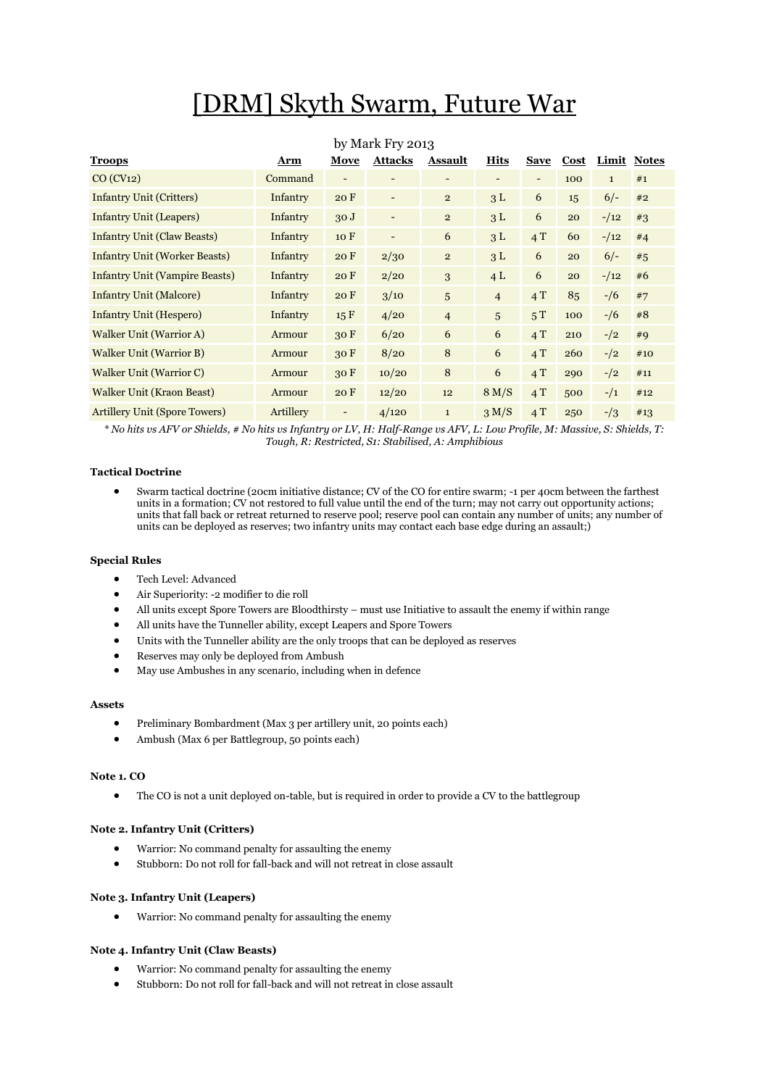# [DRM] Skyth Swarm, Future War

| <b>Troops</b>                         | Arm             | Move                     | <b>Attacks</b>           | <b>Assault</b> | <b>Hits</b>              | <b>Save</b>              | Cost | Limit Notes  |     |
|---------------------------------------|-----------------|--------------------------|--------------------------|----------------|--------------------------|--------------------------|------|--------------|-----|
| CO (CV <sub>12</sub> )                | Command         | $\overline{\phantom{a}}$ | $\overline{\phantom{a}}$ | -              | $\overline{\phantom{a}}$ | $\overline{\phantom{a}}$ | 100  | $\mathbf{1}$ | #1  |
| <b>Infantry Unit (Critters)</b>       | Infantry        | 20 F                     | $\overline{\phantom{a}}$ | $\overline{2}$ | 3L                       | 6                        | 15   | $6/-$        | #2  |
| <b>Infantry Unit (Leapers)</b>        | Infantry        | 30J                      | $\overline{\phantom{a}}$ | $\overline{2}$ | 3L                       | 6                        | 20   | $-12$        | #3  |
| <b>Infantry Unit (Claw Beasts)</b>    | Infantry        | 10 F                     | $\overline{\phantom{a}}$ | 6              | 3L                       | 4T                       | 60   | $-12$        | #4  |
| <b>Infantry Unit (Worker Beasts)</b>  | <b>Infantry</b> | 20 F                     | 2/30                     | $\overline{2}$ | 3L                       | 6                        | 20   | $6/-$        | #5  |
| <b>Infantry Unit (Vampire Beasts)</b> | Infantry        | 20 F                     | 2/20                     | 3              | 4L                       | 6                        | 20   | $-12$        | #6  |
| <b>Infantry Unit (Malcore)</b>        | Infantry        | 20 F                     | 3/10                     | 5              | $\overline{4}$           | 4T                       | 85   | $- / 6$      | #7  |
| Infantry Unit (Hespero)               | Infantry        | 15 F                     | 4/20                     | $\overline{4}$ | 5                        | 5T                       | 100  | $-1/6$       | #8  |
| Walker Unit (Warrior A)               | Armour          | 30F                      | 6/20                     | 6              | 6                        | 4T                       | 210  | $-1/2$       | #9  |
| Walker Unit (Warrior B)               | Armour          | 30F                      | 8/20                     | 8              | 6                        | 4T                       | 260  | $-1/2$       | #10 |
| Walker Unit (Warrior C)               | Armour          | 30F                      | 10/20                    | 8              | 6                        | 4T                       | 290  | $-1/2$       | #11 |
| Walker Unit (Kraon Beast)             | Armour          | 20 F                     | 12/20                    | 12             | 8 M/S                    | 4T                       | 500  | $-1/1$       | #12 |
| <b>Artillery Unit (Spore Towers)</b>  | Artillery       | $\overline{\phantom{a}}$ | 4/120                    | $\mathbf{1}$   | 3 M/S                    | 4T                       | 250  | $-1/3$       | #13 |

*\* No hits vs AFV or Shields, # No hits vs Infantry or LV, H: Half-Range vs AFV, L: Low Profile, M: Massive, S: Shields, T: Tough, R: Restricted, S1: Stabilised, A: Amphibious*

# **Tactical Doctrine**

 Swarm tactical doctrine (20cm initiative distance; CV of the CO for entire swarm; -1 per 40cm between the farthest units in a formation; CV not restored to full value until the end of the turn; may not carry out opportunity actions; units that fall back or retreat returned to reserve pool; reserve pool can contain any number of units; any number of units can be deployed as reserves; two infantry units may contact each base edge during an assault;)

# **Special Rules**

- Tech Level: Advanced
- Air Superiority: -2 modifier to die roll
- All units except Spore Towers are Bloodthirsty must use Initiative to assault the enemy if within range
- All units have the Tunneller ability, except Leapers and Spore Towers
- Units with the Tunneller ability are the only troops that can be deployed as reserves
- Reserves may only be deployed from Ambush
- May use Ambushes in any scenario, including when in defence

### **Assets**

- Preliminary Bombardment (Max 3 per artillery unit, 20 points each)
- Ambush (Max 6 per Battlegroup, 50 points each)

# **Note 1. CO**

The CO is not a unit deployed on-table, but is required in order to provide a CV to the battlegroup

# **Note 2. Infantry Unit (Critters)**

- Warrior: No command penalty for assaulting the enemy
- Stubborn: Do not roll for fall-back and will not retreat in close assault

#### **Note 3. Infantry Unit (Leapers)**

Warrior: No command penalty for assaulting the enemy

#### **Note 4. Infantry Unit (Claw Beasts)**

- Warrior: No command penalty for assaulting the enemy
- Stubborn: Do not roll for fall-back and will not retreat in close assault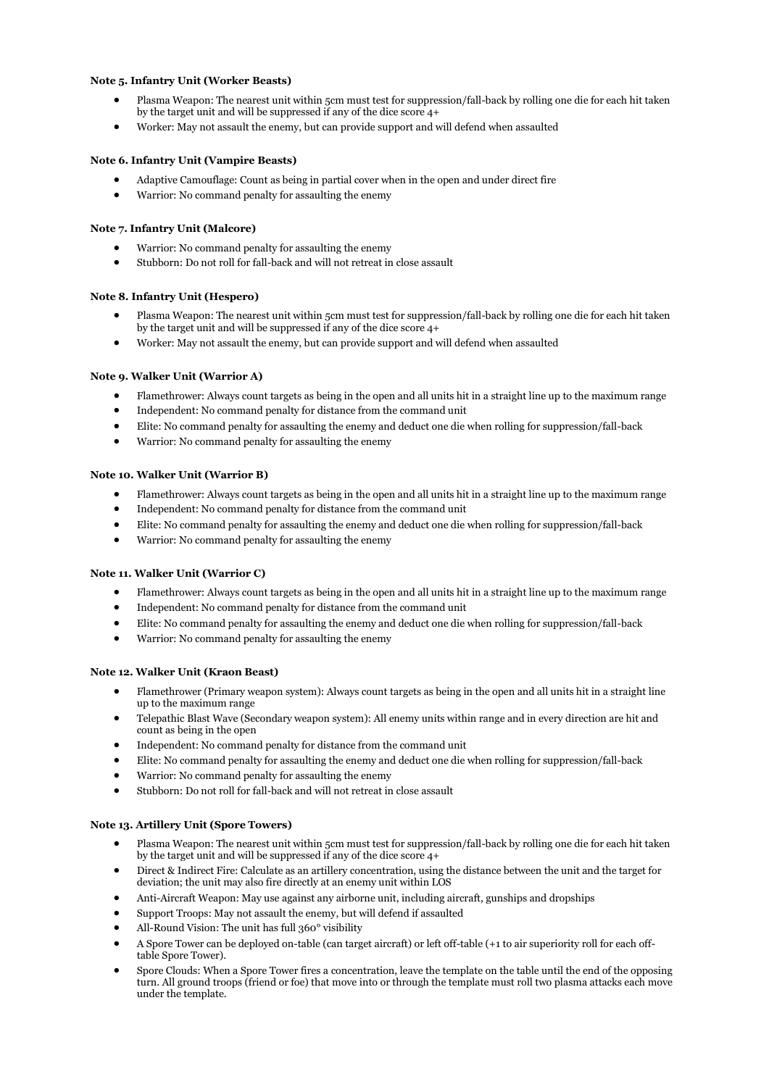# **Note 5. Infantry Unit (Worker Beasts)**

- Plasma Weapon: The nearest unit within 5cm must test for suppression/fall-back by rolling one die for each hit taken by the target unit and will be suppressed if any of the dice score 4+
- Worker: May not assault the enemy, but can provide support and will defend when assaulted

# **Note 6. Infantry Unit (Vampire Beasts)**

- Adaptive Camouflage: Count as being in partial cover when in the open and under direct fire
- Warrior: No command penalty for assaulting the enemy

### **Note 7. Infantry Unit (Malcore)**

- Warrior: No command penalty for assaulting the enemy
- Stubborn: Do not roll for fall-back and will not retreat in close assault

# **Note 8. Infantry Unit (Hespero)**

- Plasma Weapon: The nearest unit within 5cm must test for suppression/fall-back by rolling one die for each hit taken by the target unit and will be suppressed if any of the dice score 4+
- Worker: May not assault the enemy, but can provide support and will defend when assaulted

# **Note 9. Walker Unit (Warrior A)**

- Flamethrower: Always count targets as being in the open and all units hit in a straight line up to the maximum range
- Independent: No command penalty for distance from the command unit
- Elite: No command penalty for assaulting the enemy and deduct one die when rolling for suppression/fall-back
- Warrior: No command penalty for assaulting the enemy

### **Note 10. Walker Unit (Warrior B)**

- Flamethrower: Always count targets as being in the open and all units hit in a straight line up to the maximum range
- Independent: No command penalty for distance from the command unit
- Elite: No command penalty for assaulting the enemy and deduct one die when rolling for suppression/fall-back
- Warrior: No command penalty for assaulting the enemy

#### **Note 11. Walker Unit (Warrior C)**

- Flamethrower: Always count targets as being in the open and all units hit in a straight line up to the maximum range
- Independent: No command penalty for distance from the command unit
- Elite: No command penalty for assaulting the enemy and deduct one die when rolling for suppression/fall-back
- Warrior: No command penalty for assaulting the enemy

#### **Note 12. Walker Unit (Kraon Beast)**

- Flamethrower (Primary weapon system): Always count targets as being in the open and all units hit in a straight line up to the maximum range
- Telepathic Blast Wave (Secondary weapon system): All enemy units within range and in every direction are hit and count as being in the open
- Independent: No command penalty for distance from the command unit
- Elite: No command penalty for assaulting the enemy and deduct one die when rolling for suppression/fall-back
- Warrior: No command penalty for assaulting the enemy
- Stubborn: Do not roll for fall-back and will not retreat in close assault

#### **Note 13. Artillery Unit (Spore Towers)**

- Plasma Weapon: The nearest unit within 5cm must test for suppression/fall-back by rolling one die for each hit taken by the target unit and will be suppressed if any of the dice score 4+
- Direct & Indirect Fire: Calculate as an artillery concentration, using the distance between the unit and the target for deviation; the unit may also fire directly at an enemy unit within LOS
- Anti-Aircraft Weapon: May use against any airborne unit, including aircraft, gunships and dropships
- Support Troops: May not assault the enemy, but will defend if assaulted
- All-Round Vision: The unit has full 360° visibility
- A Spore Tower can be deployed on-table (can target aircraft) or left off-table (+1 to air superiority roll for each offtable Spore Tower).
- Spore Clouds: When a Spore Tower fires a concentration, leave the template on the table until the end of the opposing turn. All ground troops (friend or foe) that move into or through the template must roll two plasma attacks each move under the template.